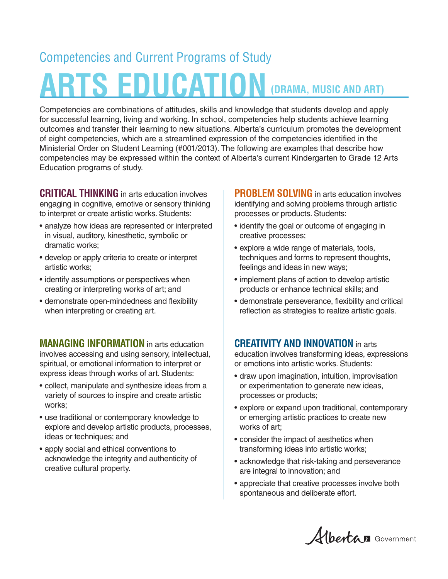## **(DRAMA, MUSIC AND ART)** Competencies and Current Programs of Study **ARTS EDUCATION**

Competencies are combinations of attitudes, skills and knowledge that students develop and apply for successful learning, living and working. In school, competencies help students achieve learning outcomes and transfer their learning to new situations. Alberta's curriculum promotes the development of eight competencies, which are a streamlined expression of the competencies identified in the Ministerial Order on Student Learning (#001/2013). The following are examples that describe how competencies may be expressed within the context of Alberta's current Kindergarten to Grade 12 Arts Education programs of study.

**CRITICAL THINKING** in arts education involves engaging in cognitive, emotive or sensory thinking to interpret or create artistic works. Students:

- analyze how ideas are represented or interpreted in visual, auditory, kinesthetic, symbolic or dramatic works;
- develop or apply criteria to create or interpret artistic works;
- identify assumptions or perspectives when creating or interpreting works of art; and
- demonstrate open-mindedness and flexibility when interpreting or creating art.

**MANAGING INFORMATION** in arts education involves accessing and using sensory, intellectual, spiritual, or emotional information to interpret or express ideas through works of art. Students:

- collect, manipulate and synthesize ideas from a variety of sources to inspire and create artistic works;
- use traditional or contemporary knowledge to explore and develop artistic products, processes, ideas or techniques; and
- apply social and ethical conventions to acknowledge the integrity and authenticity of creative cultural property.

**PROBLEM SOLVING** in arts education involves identifying and solving problems through artistic processes or products. Students:

- identify the goal or outcome of engaging in creative processes;
- explore a wide range of materials, tools, techniques and forms to represent thoughts, feelings and ideas in new ways;
- implement plans of action to develop artistic products or enhance technical skills; and
- demonstrate perseverance, flexibility and critical reflection as strategies to realize artistic goals.

## **CREATIVITY AND INNOVATION** in arts

education involves transforming ideas, expressions or emotions into artistic works. Students:

- draw upon imagination, intuition, improvisation or experimentation to generate new ideas, processes or products;
- explore or expand upon traditional, contemporary or emerging artistic practices to create new works of art;
- consider the impact of aesthetics when transforming ideas into artistic works;
- acknowledge that risk-taking and perseverance are integral to innovation; and
- appreciate that creative processes involve both spontaneous and deliberate effort.

Albertan Government